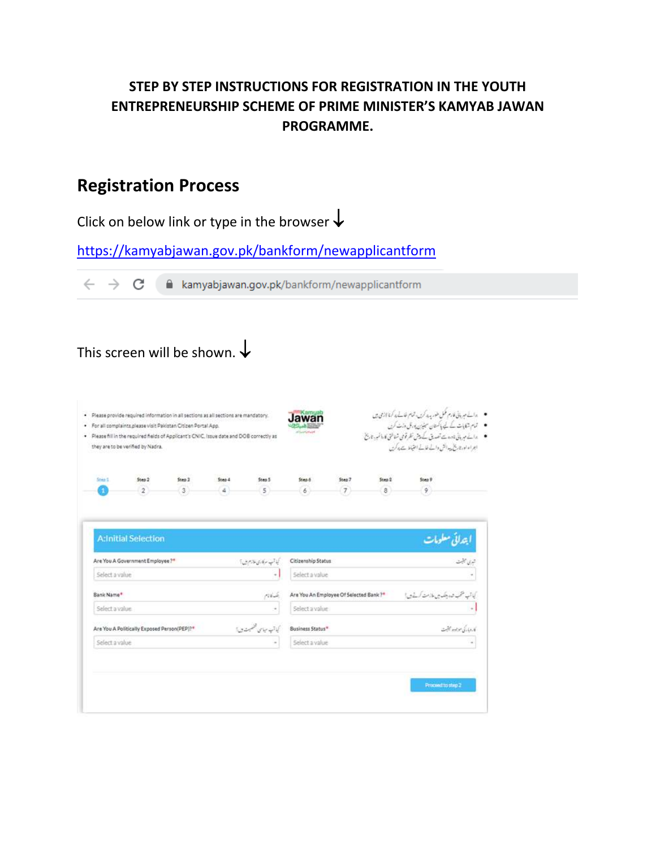## **STEP BY STEP INSTRUCTIONS FOR REGISTRATION IN THE YOUTH ENTREPRENEURSHIP SCHEME OF PRIME MINISTER'S KAMYAB JAWAN PROGRAMME.**

## **Registration Process**

Click on below link or type in the browser  $\downarrow$ 

<https://kamyabjawan.gov.pk/bankform/newapplicantform>

 $\leftarrow$   $\rightarrow$   $\mathbf{C}$   $\blacksquare$  kamyabjawan.gov.pk/bankform/newapplicantform

# This screen will be shown.  $\downarrow$

| ●  دائے مہربائی نادے سے تصدیق کے دیش نظر قومی شناختی کا رائم ہر، تاریخ<br>. Please fill in the required fields of Applicant's CNIC, Issue date and DOB correctly as<br>اجراء نورتا يخ بيدانش والمله فالمله احتياط يجيدكرن<br>they are to be verified by Nadra.<br>Step7<br>Sten 2<br>Ship 5<br>Sten 2<br>Step 3<br>Step 4<br>Step 5<br>Step 6<br>Step 9<br>$\begin{array}{c} \hline \end{array}$<br>$\overline{2}$<br>3<br>$5^{\circ}$<br>$\delta$<br>$\circ$<br>4<br>6.<br>я<br><b>A:Initial Selection</b><br>Are You A Government Employee?"<br>Citizenship Status<br>أبنا آب سركارى طازم بين؟<br>Select a value<br>Select a value<br>$\sim$<br>Bank Name <sup>+</sup><br>Are You An Employee Of Selected Bank ?*<br>بتساديم<br>Select a value<br>Select a value<br>÷ |                        | • مالے میریانی فارم مکمل طور پہ ہا کریں تمام خالے ہا کہ ڈائرمی میں<br>● تمام شکایات کے لیے پاکستان سینیزن یورٹل وزٹ کریں |  | · Please provide required information in all sections as all sections are mandatory.<br>· For all complaints please visit Pakistan Citizen Portal App. |  |  |  |  |
|-------------------------------------------------------------------------------------------------------------------------------------------------------------------------------------------------------------------------------------------------------------------------------------------------------------------------------------------------------------------------------------------------------------------------------------------------------------------------------------------------------------------------------------------------------------------------------------------------------------------------------------------------------------------------------------------------------------------------------------------------------------------------|------------------------|--------------------------------------------------------------------------------------------------------------------------|--|--------------------------------------------------------------------------------------------------------------------------------------------------------|--|--|--|--|
|                                                                                                                                                                                                                                                                                                                                                                                                                                                                                                                                                                                                                                                                                                                                                                         |                        |                                                                                                                          |  |                                                                                                                                                        |  |  |  |  |
|                                                                                                                                                                                                                                                                                                                                                                                                                                                                                                                                                                                                                                                                                                                                                                         |                        |                                                                                                                          |  |                                                                                                                                                        |  |  |  |  |
|                                                                                                                                                                                                                                                                                                                                                                                                                                                                                                                                                                                                                                                                                                                                                                         |                        |                                                                                                                          |  |                                                                                                                                                        |  |  |  |  |
|                                                                                                                                                                                                                                                                                                                                                                                                                                                                                                                                                                                                                                                                                                                                                                         | تبری جنبت              | أبهداني معلومات                                                                                                          |  |                                                                                                                                                        |  |  |  |  |
|                                                                                                                                                                                                                                                                                                                                                                                                                                                                                                                                                                                                                                                                                                                                                                         |                        |                                                                                                                          |  |                                                                                                                                                        |  |  |  |  |
|                                                                                                                                                                                                                                                                                                                                                                                                                                                                                                                                                                                                                                                                                                                                                                         |                        | كياتب متحب شدد بتكدين ملامت كرنيذى إ                                                                                     |  |                                                                                                                                                        |  |  |  |  |
|                                                                                                                                                                                                                                                                                                                                                                                                                                                                                                                                                                                                                                                                                                                                                                         |                        |                                                                                                                          |  |                                                                                                                                                        |  |  |  |  |
| گيا آپ مياسي تخميمندي؟<br>Business Status*<br>Are You A Politically Exposed Person(PEP)?*                                                                                                                                                                                                                                                                                                                                                                                                                                                                                                                                                                                                                                                                               | كاروبار كى موجود مبتيت |                                                                                                                          |  |                                                                                                                                                        |  |  |  |  |
| Select a value<br>Select a value                                                                                                                                                                                                                                                                                                                                                                                                                                                                                                                                                                                                                                                                                                                                        |                        |                                                                                                                          |  |                                                                                                                                                        |  |  |  |  |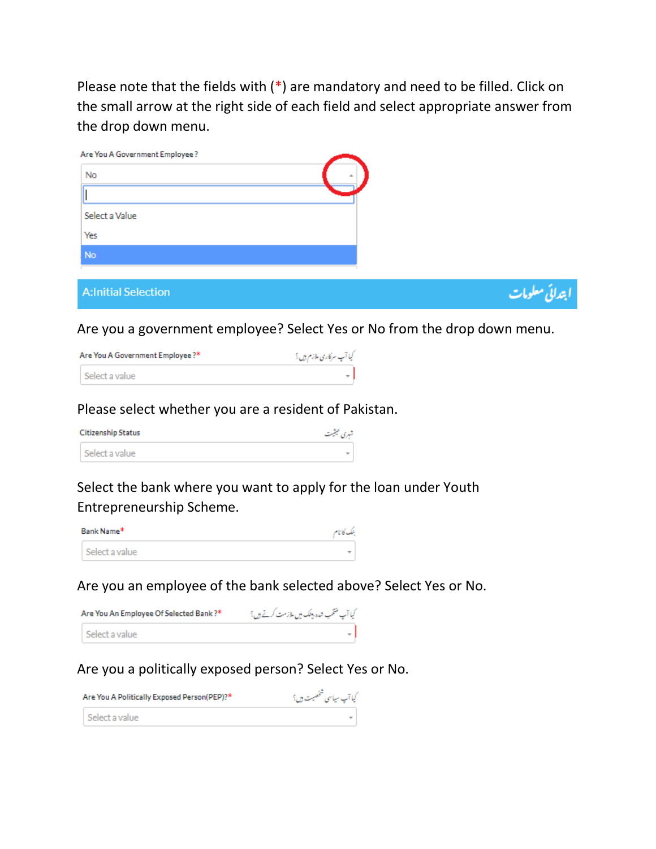Please note that the fields with (\*) are mandatory and need to be filled. Click on the small arrow at the right side of each field and select appropriate answer from the drop down menu.

| Are You A Government Employee? |                 |
|--------------------------------|-----------------|
| No                             | $\Delta t$      |
|                                |                 |
| Select a Value                 |                 |
| Yes                            |                 |
| No                             |                 |
|                                |                 |
| <b>A:Initial Selection</b>     | ابتدائي معلومات |

Are you a government employee? Select Yes or No from the drop down menu.

| Are You A Government Employee?* | کیا آپ سرکاری ملازم ہیں ؟ |
|---------------------------------|---------------------------|
| Select a value                  |                           |

## Please select whether you are a resident of Pakistan.

| <b>Citizenship Status</b> | شہری حیثیت |
|---------------------------|------------|
| Select a value            |            |

Select the bank where you want to apply for the loan under Youth Entrepreneurship Scheme.

| Bank Name*     | بنك كانام |
|----------------|-----------|
| Select a value |           |

Are you an employee of the bank selected above? Select Yes or No.

| Are You An Employee Of Selected Bank ?* | کیا آپ منتخب شدہ بینک میں ملازمت کرتے ہیں؟ |
|-----------------------------------------|--------------------------------------------|
| l Select a value                        |                                            |

## Are you a politically exposed person? Select Yes or No.

| Are You A Politically Exposed Person(PEP)?* | کیا آپ سیاسی شخصیت ہی؟ |
|---------------------------------------------|------------------------|
| Select a value                              |                        |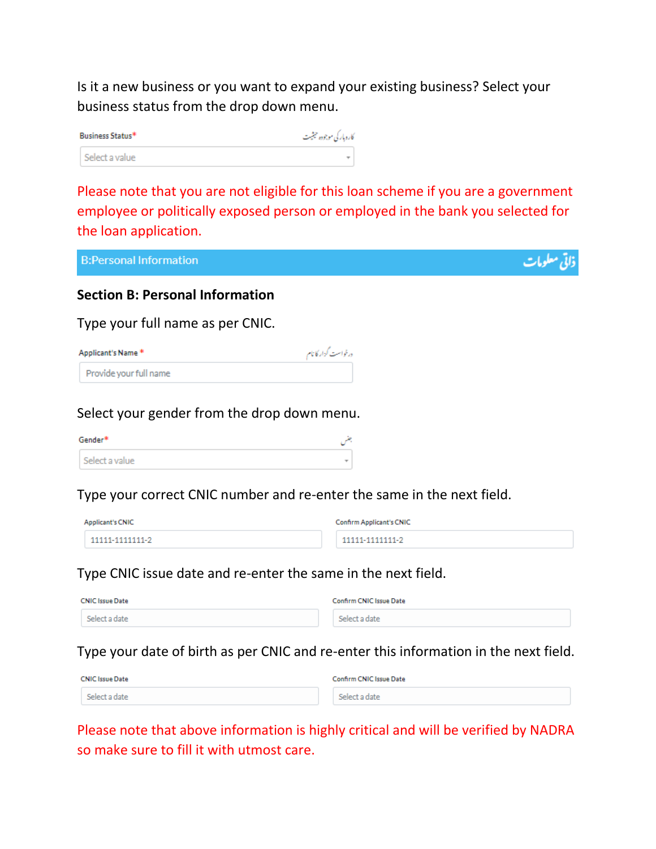Is it a new business or you want to expand your existing business? Select your business status from the drop down menu.

| Business Status* | كاروباركي موجوده حيثيت |
|------------------|------------------------|
| Select a value   | ÷                      |

Please note that you are not eligible for this loan scheme if you are a government employee or politically exposed person or employed in the bank you selected for the loan application.

**B:Personal Information** 

#### **Section B: Personal Information**

Type your full name as per CNIC.

| Applicant's Name*      | درخواست كزار كانام |
|------------------------|--------------------|
| Provide your full name |                    |

#### Select your gender from the drop down menu.

| Gender*        |   |
|----------------|---|
| Select a value | ÷ |

Type your correct CNIC number and re-enter the same in the next field.

| <b>Applicant's CNIC</b> | <b>Confirm Applicant's CNIC</b> |
|-------------------------|---------------------------------|
| 11111-1111111-2         | 11111-1111111-2                 |

#### Type CNIC issue date and re-enter the same in the next field.

| <b>CNIC Issue Date</b> | Confirm CNIC Issue Date |
|------------------------|-------------------------|
| Select a date          | Select a date           |

Type your date of birth as per CNIC and re-enter this information in the next field.

| <b>CNIC Issue Date</b> | Confirm CNIC Issue Date |
|------------------------|-------------------------|
| Select a date          | Select a date           |

Please note that above information is highly critical and will be verified by NADRA so make sure to fill it with utmost care.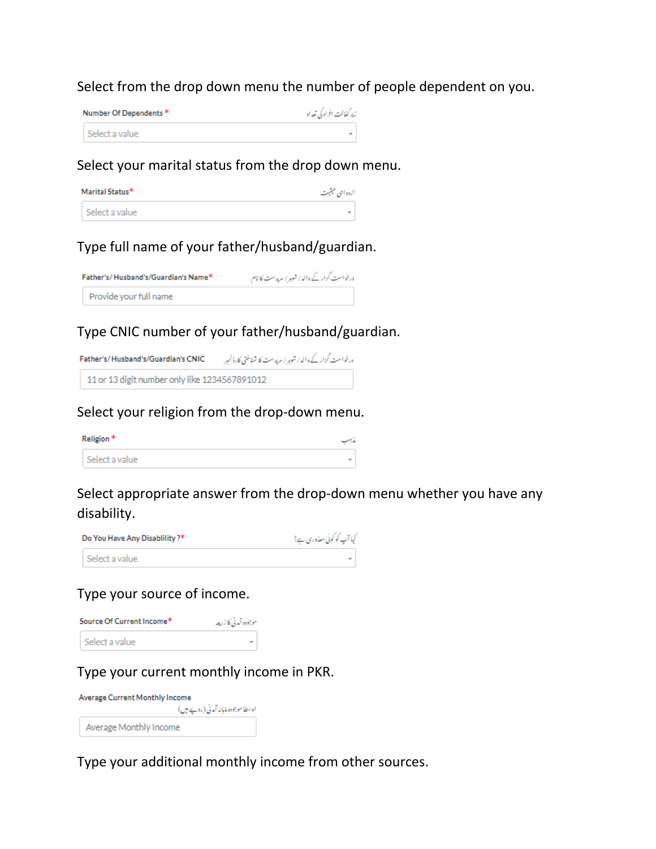#### Select from the drop down menu the number of people dependent on you.

| Number Of Dependents* |                | زير كفالت افراد كي تعداد |
|-----------------------|----------------|--------------------------|
|                       | Select a value |                          |

#### Select your marital status from the drop down menu.

| Marital Status* | ازدواجي حيثيت            |
|-----------------|--------------------------|
| Select a value  | $\overline{\phantom{a}}$ |

## Type full name of your father/husband/guardian.

| Father's/Husband's/Guardian's Name* |                        | درخواست گزار کے والد/شوہر/سرپرست کا نام |  |
|-------------------------------------|------------------------|-----------------------------------------|--|
|                                     | Provide your full name |                                         |  |

## Type CNIC number of your father/husband/guardian.

درغواست كزار كے والد / شوہر/ سرپرست كا شناختي كارڈ نمبر Father's/Husband's/Guardian's CNIC 11 or 13 digit number only like 1234567891012

#### Select your religion from the drop-down menu.

| Religion *     |  |
|----------------|--|
| Select a value |  |

## Select appropriate answer from the drop-down menu whether you have any disability.

| Do You Have Any Disablility?* | کیا آپ کو کوئی معذوری ہے؟ |
|-------------------------------|---------------------------|
| Select a value                | ÷                         |

## Type your source of income.

| Source Of Current Income* | موجوده آمدني كازربار |
|---------------------------|----------------------|
| Select a value            |                      |

Type your current monthly income in PKR.

| <b>Average Current Monthly Income</b> |  |  |
|---------------------------------------|--|--|
| اوسطا موجودہ ماہانہ آمدنی (روپے میں)  |  |  |
| Average Monthly Income                |  |  |

Type your additional monthly income from other sources.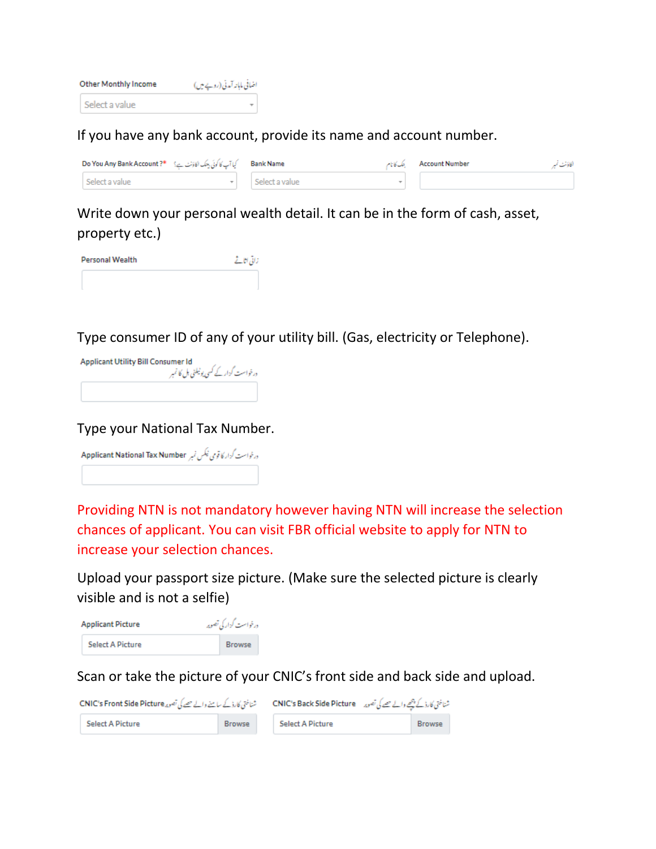| <b>Other Monthly Income</b> | اضافی ماہانہ آمدنی (روپے میں) |  |  |
|-----------------------------|-------------------------------|--|--|
| Select a value              |                               |  |  |

#### If you have any bank account, provide its name and account number.

| Bank Name __ كِيا آپ كا كوئي بينك اكاؤنٹ ہے؟ " Do You Any Bank Account ? # |                             | Account Number : ينك كانام | الكاؤنث نم |
|----------------------------------------------------------------------------|-----------------------------|----------------------------|------------|
| Select a value                                                             | $\mathbf{F}$ Select a value |                            |            |

Write down your personal wealth detail. It can be in the form of cash, asset, property etc.)

| <b>Personal Wealth</b> | زائی اتاقے |
|------------------------|------------|
|                        |            |

Type consumer ID of any of your utility bill. (Gas, electricity or Telephone).

| <b>Applicant Utility Bill Consumer Id</b><br>درخواست گزار کے کسی یوٹیلٹی بل کا نمبر |
|-------------------------------------------------------------------------------------|
|                                                                                     |

Type your National Tax Number.

درغواست گزار کا قومی ٹیکس نمبر Applicant National Tax Number

Providing NTN is not mandatory however having NTN will increase the selection chances of applicant. You can visit FBR official website to apply for NTN to increase your selection chances.

Upload your passport size picture. (Make sure the selected picture is clearly visible and is not a selfie)

| <b>Applicant Picture</b> | درخواست گزار کی تصویر |
|--------------------------|-----------------------|
| <b>Select A Picture</b>  | <b>Browse</b>         |

Scan or take the picture of your CNIC's front side and back side and upload.

| شناختی کارڈ کے سامنے والے حصے کی تصویر CNIC's Front Side Picture |               |  | شناختی کارڈ کے پیچے والے حصے کی تصویر ہے CNIC's Back Side Picture |  |               |  |
|------------------------------------------------------------------|---------------|--|-------------------------------------------------------------------|--|---------------|--|
| Select A Picture                                                 | <b>Browse</b> |  | <b>Select A Picture</b>                                           |  | <b>Browse</b> |  |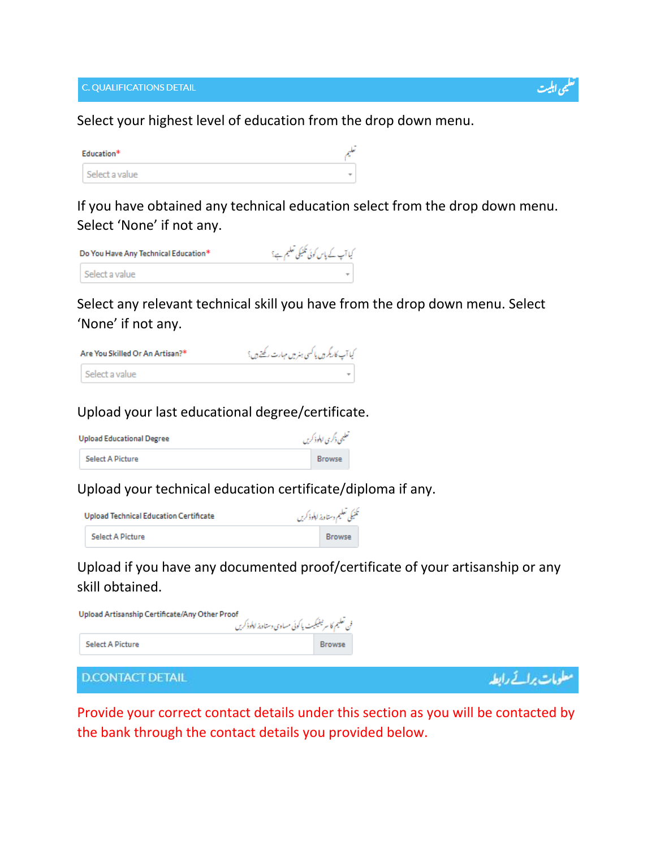C. QUALIFICATIONS DETAIL

ی اہلیت

علومات برائے رابطہ

Select your highest level of education from the drop down menu.

| Education* |                | п. |
|------------|----------------|----|
|            | Select a value | ÷  |

If you have obtained any technical education select from the drop down menu. Select 'None' if not any.

| Do You Have Any Technical Education* |                | کیا آپ کے پاس کوئی تکنیکی تعلیم ہے؟ |
|--------------------------------------|----------------|-------------------------------------|
|                                      | Select a value |                                     |

Select any relevant technical skill you have from the drop down menu. Select 'None' if not any.

| Are You Skilled Or An Artisan?* |                | كيا آپ كاريگر ہ يا كسى ہنر ميں مہارت ركھتے ہى؟ |
|---------------------------------|----------------|------------------------------------------------|
|                                 | Select a value | ÷                                              |

#### Upload your last educational degree/certificate.

| تعليمي ذكرى ابلوذ كريں<br><b>Upload Educational Degree</b> |               |  |
|------------------------------------------------------------|---------------|--|
| <b>Select A Picture</b>                                    | <b>Browse</b> |  |

Upload your technical education certificate/diploma if any.

| Upload Technical Education Certificate | تكنيكي تعليم دستاويز ابلوذكريں |  |
|----------------------------------------|--------------------------------|--|
| <b>Select A Picture</b>                | <b>Browse</b>                  |  |

Upload if you have any documented proof/certificate of your artisanship or any skill obtained.

| Upload Artisanship Certificate/Any Other Proof<br>فن تعليم كا سرنيفيكيث يا كوئي مساوي دستاويز لالوذكريں |               |
|---------------------------------------------------------------------------------------------------------|---------------|
| <b>Select A Picture</b>                                                                                 | <b>Browse</b> |

**D.CONTACT DETAIL** 

Provide your correct contact details under this section as you will be contacted by the bank through the contact details you provided below.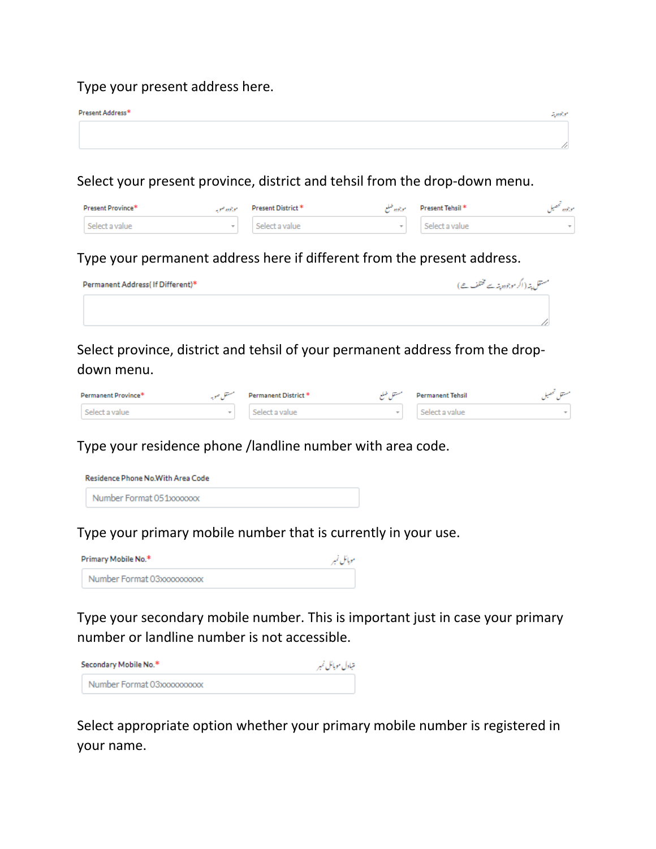#### Type your present address here.

| Present Address* | سوجودوجه |
|------------------|----------|
|                  |          |
|                  |          |

Select your present province, district and tehsil from the drop-down menu.

|                | Present Province* | موجوده صويه | Present District * | موجوده صلع | Present Tehsil* | 259.5 |
|----------------|-------------------|-------------|--------------------|------------|-----------------|-------|
| Select a value |                   |             | Select a value     | $\sim$     | Select a value  |       |

Type your permanent address here if different from the present address.

| Permanent Address(If Different)* | مستقل پتہ ( اگر موجودہ پتہ سے مختلف ھے ) |
|----------------------------------|------------------------------------------|
|                                  |                                          |
|                                  |                                          |

Select province, district and tehsil of your permanent address from the dropdown menu.

| Permanent Province* | Permanent District * | مستقل ضلع | <b>Permanent Tehsil</b> |  |
|---------------------|----------------------|-----------|-------------------------|--|
| Select a value      | Select a value       |           | Select a value          |  |

Type your residence phone /landline number with area code.

| Residence Phone No.With Area Code |  |
|-----------------------------------|--|
| Number Format 051xxxxxxx          |  |

Type your primary mobile number that is currently in your use.

| Primary Mobile No.*        | موبائل نمبر |
|----------------------------|-------------|
| Number Format 03xxxxxxxxxx |             |

Type your secondary mobile number. This is important just in case your primary number or landline number is not accessible.

| Secondary Mobile No.*      | متبادل موبائل نمبر |
|----------------------------|--------------------|
| Number Format 03xxxxxxxxxx |                    |

Select appropriate option whether your primary mobile number is registered in your name.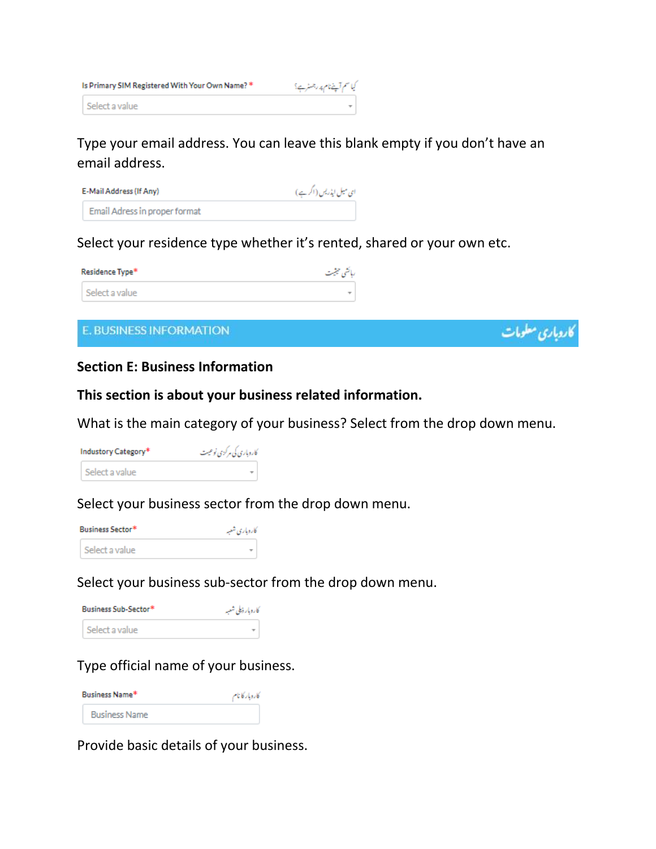| Is Primary SIM Registered With Your Own Name? * | کیا سم آپنےنام پر رجسٹر ہے؟ |
|-------------------------------------------------|-----------------------------|
| l Select a value                                |                             |

## Type your email address. You can leave this blank empty if you don't have an email address.

| E-Mail Address (If Any)       | ای میل ایڈریس (اگر ہے) |
|-------------------------------|------------------------|
| Email Adress in proper format |                        |

#### Select your residence type whether it's rented, shared or your own etc.

| Residence Type* | رہائشی حیثیت             |
|-----------------|--------------------------|
| Select a value  | $\overline{\phantom{a}}$ |

#### E. BUSINESS INFORMATION

#### **Section E: Business Information**

#### **This section is about your business related information.**

What is the main category of your business? Select from the drop down menu.

کاروباری معلومات

| Industory Category* | کاروباری کی مرکزی نوعیت |
|---------------------|-------------------------|
| Select a value      |                         |

#### Select your business sector from the drop down menu.

| <b>Business Sector*</b> | کاروباری شعبه |
|-------------------------|---------------|
| Select a value          |               |

#### Select your business sub-sector from the drop down menu.

| Business Sub-Sector* | كاروبار ذيلي شعبه |  |
|----------------------|-------------------|--|
| Select a value       |                   |  |

#### Type official name of your business.

| Business Name*       | كاروبار كأنام |
|----------------------|---------------|
| <b>Business Name</b> |               |

Provide basic details of your business.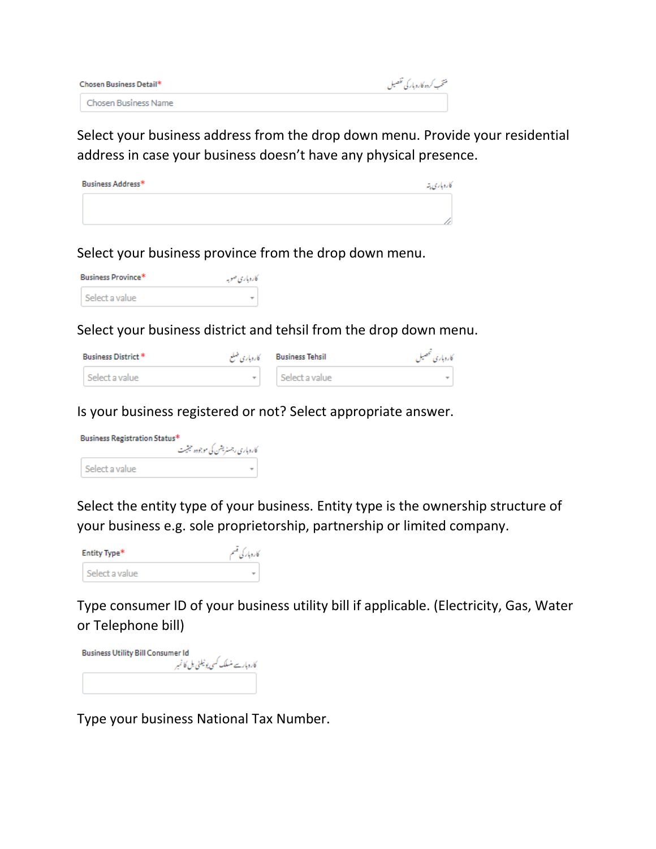| Chosen Business Detail* | منتخب كرده كاروباركي تفصيل |
|-------------------------|----------------------------|
| Chosen Business Name    |                            |

Select your business address from the drop down menu. Provide your residential address in case your business doesn't have any physical presence.

| Business Address* | كاروباري يته |
|-------------------|--------------|
|                   |              |
|                   |              |

Select your business province from the drop down menu.

| Business Province* | کاروپاری صوبه |
|--------------------|---------------|
| Select a value     |               |

Select your business district and tehsil from the drop down menu.

| Business District * |              | Business Tehsil کاروباری ضلع | كاروباري تتحصيل |
|---------------------|--------------|------------------------------|-----------------|
| Select a value      | $\mathbf{r}$ | Select a value               |                 |

Is your business registered or not? Select appropriate answer.

| Business Registration Status* | کاروباری رجسٹریشن کی موجودہ حیثیت |
|-------------------------------|-----------------------------------|
| Select a value                |                                   |

Select the entity type of your business. Entity type is the ownership structure of your business e.g. sole proprietorship, partnership or limited company.



Type consumer ID of your business utility bill if applicable. (Electricity, Gas, Water or Telephone bill)

**Business Utility Bill Consumer Id** کاروبارسے منسلک کسی یوٹیلٹی بل کا نمبر<br>کاروبارسے منسلک کسی یوٹیلٹی بل کا نمبر

Type your business National Tax Number.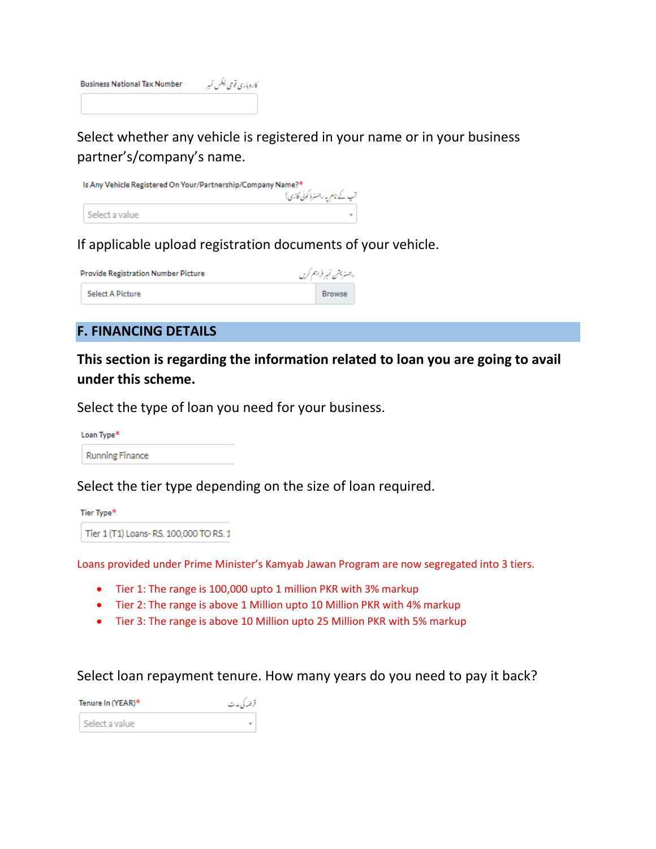

Select whether any vehicle is registered in your name or in your business partner's/company's name.

| Is Any Vehicle Registered On Your/Partnership/Company Name?* |                                |  |
|--------------------------------------------------------------|--------------------------------|--|
|                                                              | آپ کے نام یہ رجسٹرڈ کوئی گاڑی؟ |  |
|                                                              | Select a value                 |  |

#### If applicable upload registration documents of your vehicle.

| <b>Provide Registration Number Picture</b> | رجسٹریشن نمبر فراہم کریں |
|--------------------------------------------|--------------------------|
| <b>Select A Picture</b>                    | <b>Browse</b>            |

#### **F. FINANCING DETAILS**

**This section is regarding the information related to loan you are going to avail under this scheme.**

Select the type of loan you need for your business.

Loan Type\*

**Running Finance** 

Select the tier type depending on the size of loan required.

Tier Type\*

Tier 1 (T1) Loans-RS. 100,000 TO RS. 1

Loans provided under Prime Minister's Kamyab Jawan Program are now segregated into 3 tiers.

- Tier 1: The range is 100,000 upto 1 million PKR with 3% markup
- Tier 2: The range is above 1 Million upto 10 Million PKR with 4% markup
- Tier 3: The range is above 10 Million upto 25 Million PKR with 5% markup

#### Select loan repayment tenure. How many years do you need to pay it back?

| Tenure In (YEAR)* | قرضه کی مدت |
|-------------------|-------------|
| Select a value    |             |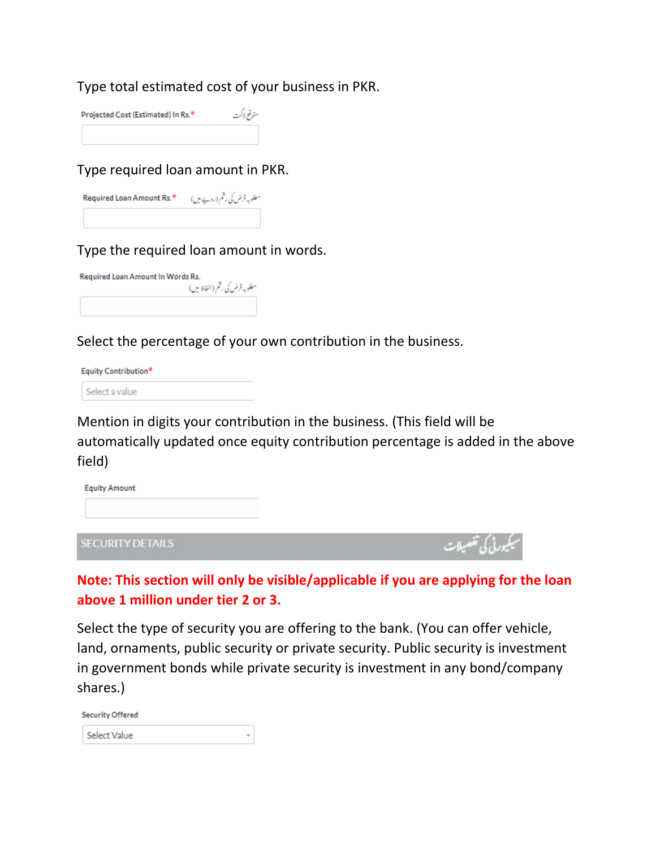Type total estimated cost of your business in PKR.

| Projected Cost (Estimated) In Rs.* | متوقع لاكت |
|------------------------------------|------------|
|                                    |            |

Type required loan amount in PKR.

| Required Loan Amount Rs.* $(\iota_{\mathcal{X}} \leftarrow s) \delta_{\iota}$ روپے میں ا |  |
|------------------------------------------------------------------------------------------|--|
|                                                                                          |  |

Type the required loan amount in words.

| Required Loan Amount In Words Rs. |                               |  |
|-----------------------------------|-------------------------------|--|
|                                   | مطلوبه قرض کی رقم (الفاظ میں) |  |
|                                   |                               |  |

Select the percentage of your own contribution in the business.

| Equity Contribution* |  |
|----------------------|--|
| Select a value       |  |

Mention in digits your contribution in the business. (This field will be automatically updated once equity contribution percentage is added in the above field)

| <b>Equity Amount</b>    |  |
|-------------------------|--|
|                         |  |
|                         |  |
| <b>SECURITY DETAILS</b> |  |

**Note: This section will only be visible/applicable if you are applying for the loan above 1 million under tier 2 or 3.**

Select the type of security you are offering to the bank. (You can offer vehicle, land, ornaments, public security or private security. Public security is investment in government bonds while private security is investment in any bond/company shares.)

| <b>Security Offered</b> |  |
|-------------------------|--|
| Select Value            |  |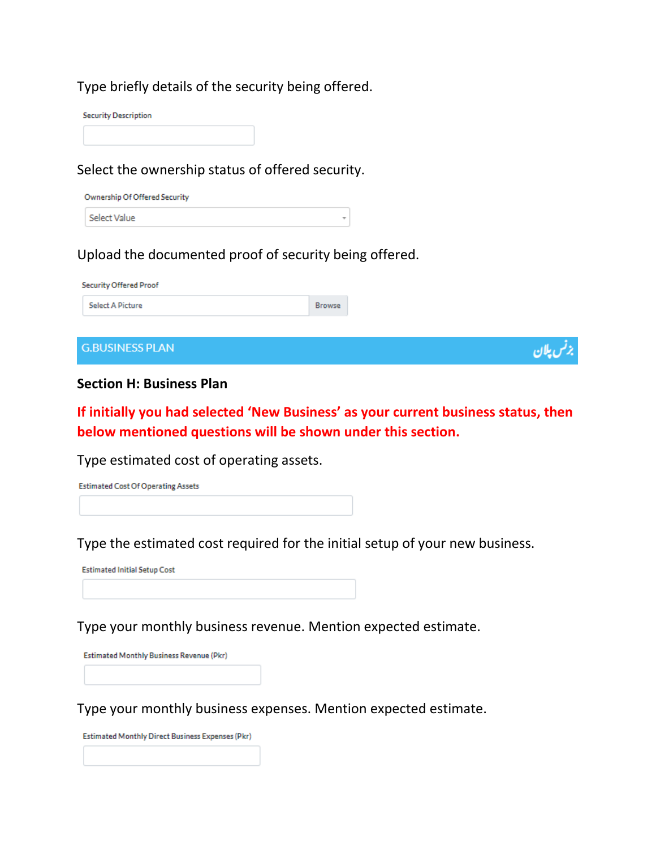#### Type briefly details of the security being offered.

**Security Description** 

#### Select the ownership status of offered security.

| Ownership Of Offered Security |
|-------------------------------|
| Select Value                  |

#### Upload the documented proof of security being offered.

| <b>Security Offered Proof</b> |        |
|-------------------------------|--------|
| <b>Browse</b>                 |        |
|                               |        |
|                               |        |
|                               | ل پلان |
|                               |        |

 $\overline{\phantom{a}}$ 

#### **Section H: Business Plan**

**If initially you had selected 'New Business' as your current business status, then below mentioned questions will be shown under this section.**

Type estimated cost of operating assets.

**Estimated Cost Of Operating Assets** 

Type the estimated cost required for the initial setup of your new business.

**Estimated Initial Setup Cost** 

Type your monthly business revenue. Mention expected estimate.

Estimated Monthly Business Revenue (Pkr)

Type your monthly business expenses. Mention expected estimate.

Estimated Monthly Direct Business Expenses (Pkr)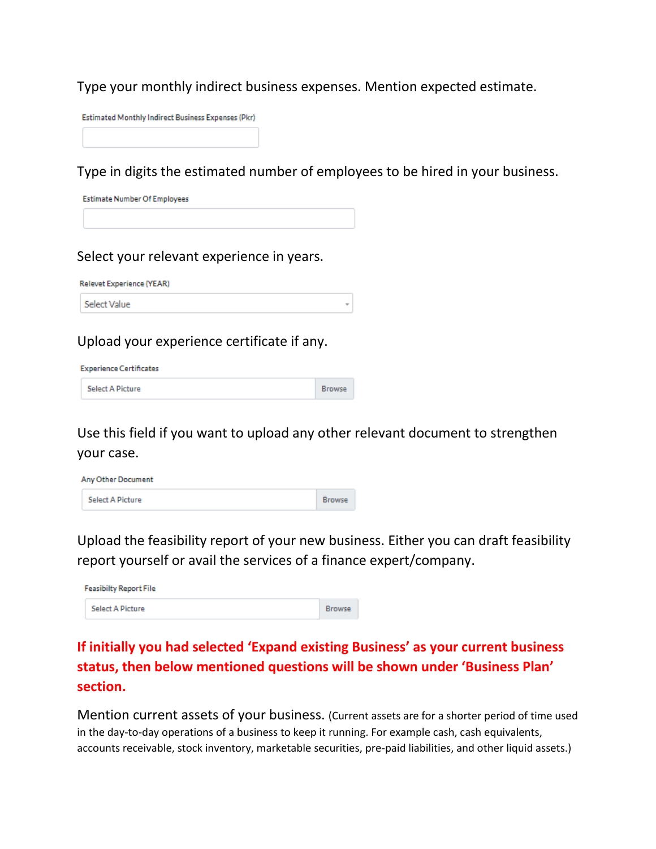Type your monthly indirect business expenses. Mention expected estimate.

Estimated Monthly Indirect Business Expenses (Pkr)

Type in digits the estimated number of employees to be hired in your business.

**Estimate Number Of Employees** 

Select your relevant experience in years.

**Relevet Experience (YEAR)** 

Select Value

Upload your experience certificate if any.

**Experience Certificates** 

**Select A Picture** 

Use this field if you want to upload any other relevant document to strengthen your case.

**Browse** 

| <b>Any Other Document</b> |               |
|---------------------------|---------------|
| Select A Picture          | <b>Browse</b> |

Upload the feasibility report of your new business. Either you can draft feasibility report yourself or avail the services of a finance expert/company.

| <b>Feasibilty Report File</b> |               |  |
|-------------------------------|---------------|--|
| <b>Select A Picture</b>       | <b>Browse</b> |  |

## **If initially you had selected 'Expand existing Business' as your current business status, then below mentioned questions will be shown under 'Business Plan' section.**

Mention current assets of your business. (Current assets are for a shorter period of time used in the day-to-day operations of a business to keep it running. For example cash, cash equivalents, accounts receivable, stock inventory, marketable securities, pre-paid liabilities, and other liquid assets.)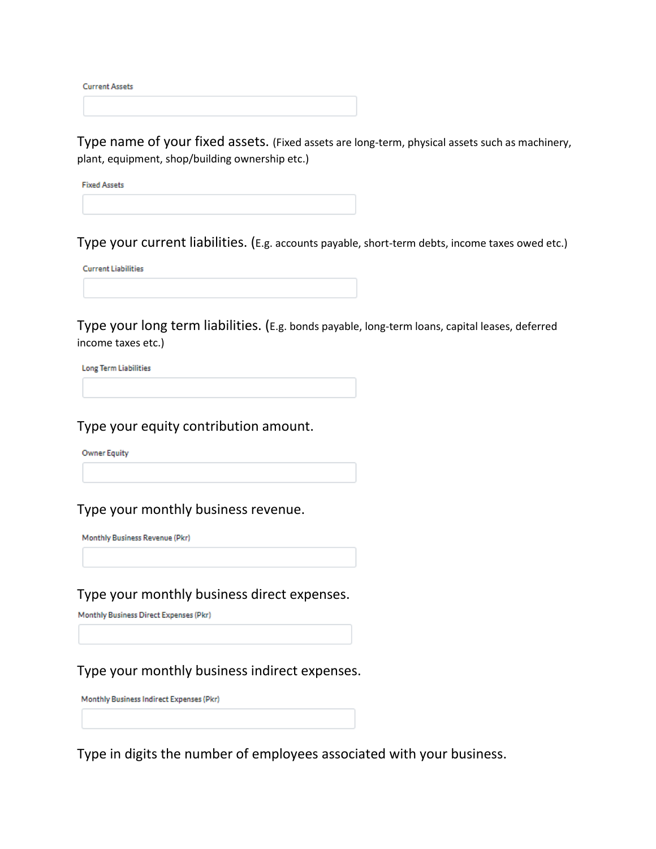**Current Assets** 

Type name of your fixed assets. (Fixed assets are long-term, physical assets such as machinery, plant, equipment, shop/building ownership etc.)

**Fixed Assets** 

Type your current liabilities. (E.g. accounts payable, short-term debts, income taxes owed etc.)

**Current Liabilities** 

Type your long term liabilities. (E.g. bonds payable, long-term loans, capital leases, deferred income taxes etc.)

**Long Term Liabilities** 

Type your equity contribution amount.

**Owner Equity** 

Type your monthly business revenue.

Monthly Business Revenue (Pkr)

Type your monthly business direct expenses.

Monthly Business Direct Expenses (Pkr)

Type your monthly business indirect expenses.

Monthly Business Indirect Expenses (Pkr)

Type in digits the number of employees associated with your business.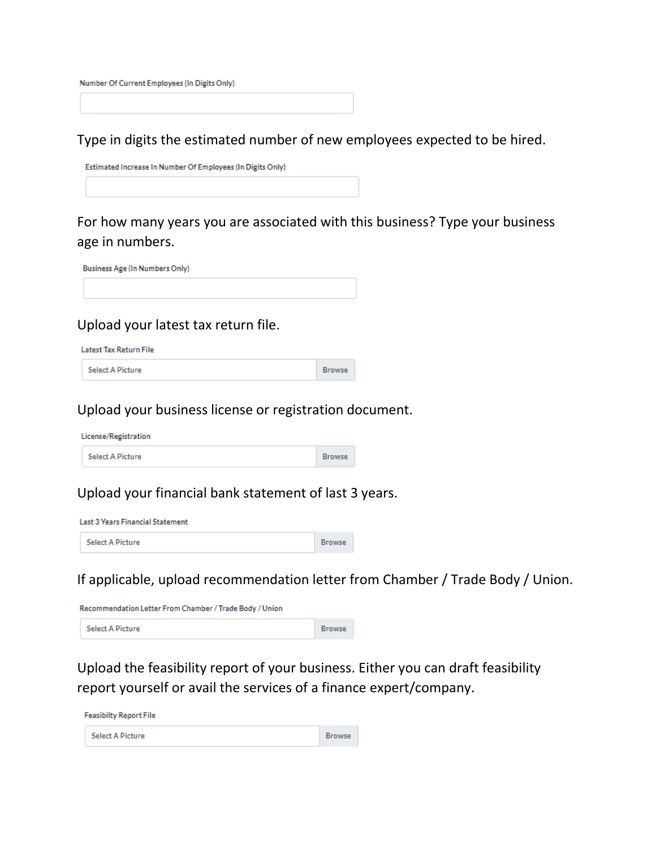Number Of Current Employees (In Digits Only)

Type in digits the estimated number of new employees expected to be hired.

Estimated Increase In Number Of Employees (In Digits Only)

For how many years you are associated with this business? Type your business age in numbers.

Browse

Browse

**Business Age (In Numbers Only)** 

#### Upload your latest tax return file.

Latest Tax Return File

**Select A Picture** 

Upload your business license or registration document.

License/Registration

**Select A Picture** 

#### Upload your financial bank statement of last 3 years.

**Last 3 Years Financial Statement** 

**Select A Picture** Browse

If applicable, upload recommendation letter from Chamber / Trade Body / Union.

Recommendation Letter From Chamber / Trade Body / Union

**Select A Picture Browse** 

Upload the feasibility report of your business. Either you can draft feasibility report yourself or avail the services of a finance expert/company.

**Feasibilty Report File Select A Picture** Browse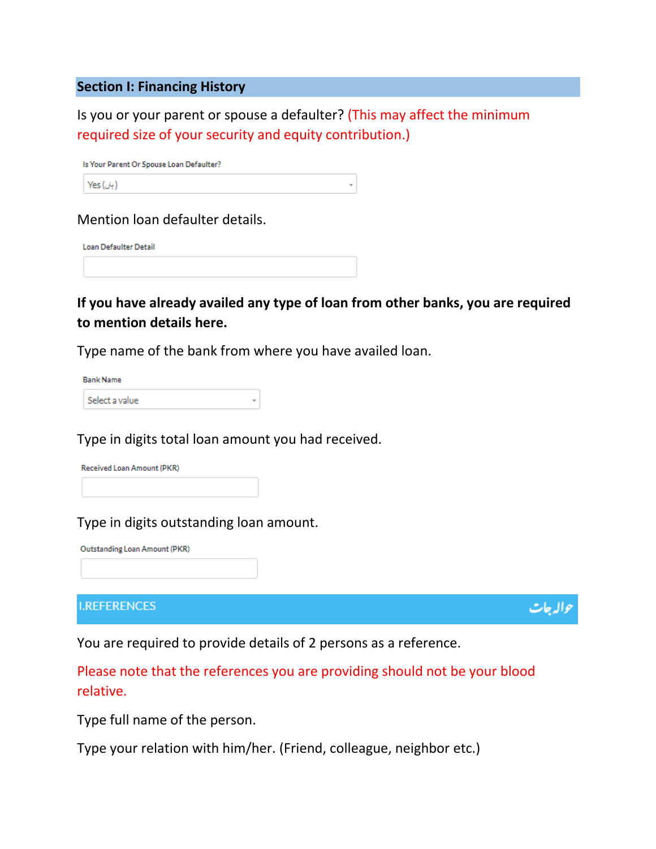#### **Section I: Financing History**

Is you or your parent or spouse a defaulter? (This may affect the minimum required size of your security and equity contribution.)

| Is Your Parent Or Spouse Loan Defaulter? |
|------------------------------------------|
| ( بان) Yes                               |

Mention loan defaulter details.

Loan Defaulter Detail

**If you have already availed any type of loan from other banks, you are required to mention details here.**

Type name of the bank from where you have availed loan.

| <b>Bank Name</b> |                |  |
|------------------|----------------|--|
|                  | Select a value |  |

Type in digits total loan amount you had received.



Type in digits outstanding loan amount.

Outstanding Loan Amount (PKR)

#### **I.REFERENCES**

واله جات

You are required to provide details of 2 persons as a reference.

Please note that the references you are providing should not be your blood relative.

Type full name of the person.

Type your relation with him/her. (Friend, colleague, neighbor etc.)